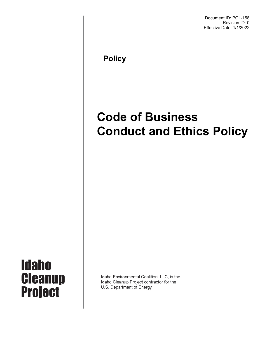Document ID: POL-158 Revision ID: 0 Effective Date: 1/1/2022

 **Policy**

# **Code of Business Conduct and Ethics Policy**



Idaho Environmental Coalition, LLC, is the Idaho Cleanup Project contractor for the U.S. Department of Energy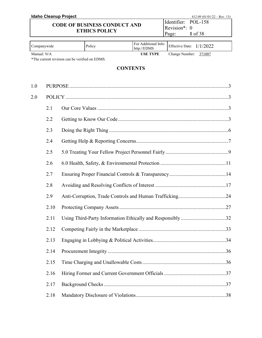|                      |             | <b>Idaho Cleanup Project</b>                   |                                     |                 |                                     |                | 412.09 $(01/01/22 - Rev. 13)$                              |
|----------------------|-------------|------------------------------------------------|-------------------------------------|-----------------|-------------------------------------|----------------|------------------------------------------------------------|
|                      |             |                                                | <b>CODE OF BUSINESS CONDUCT AND</b> |                 |                                     | Identifier:    | <b>POL-158</b>                                             |
| <b>ETHICS POLICY</b> |             |                                                |                                     | Revision*: 0    |                                     |                |                                                            |
|                      |             |                                                |                                     |                 |                                     | Page:          | 1 of 38                                                    |
|                      | Companywide |                                                | Policy                              |                 | For Additional Info:<br>http://EDMS |                | Effective Date: $1/1/2022$                                 |
|                      | Manual: N/A | *The current revision can be verified on EDMS. |                                     |                 | <b>USE TYPE</b>                     | Change Number: | 371007                                                     |
|                      |             |                                                |                                     |                 |                                     |                |                                                            |
|                      |             |                                                |                                     | <b>CONTENTS</b> |                                     |                |                                                            |
| 1.0                  |             |                                                |                                     |                 |                                     |                |                                                            |
|                      |             |                                                |                                     |                 |                                     |                |                                                            |
| 2.0                  |             |                                                |                                     |                 |                                     |                |                                                            |
|                      | 2.1         |                                                |                                     |                 |                                     |                |                                                            |
|                      | 2.2         |                                                |                                     |                 |                                     |                |                                                            |
|                      | 2.3         |                                                |                                     |                 |                                     |                |                                                            |
|                      | 2.4         |                                                |                                     |                 |                                     |                |                                                            |
|                      | 2.5         |                                                |                                     |                 |                                     |                |                                                            |
|                      | 2.6         |                                                |                                     |                 |                                     |                |                                                            |
|                      | 2.7         |                                                |                                     |                 |                                     |                |                                                            |
|                      | 2.8         |                                                |                                     |                 |                                     |                |                                                            |
|                      | 2.9         |                                                |                                     |                 |                                     |                |                                                            |
|                      |             |                                                |                                     |                 |                                     |                |                                                            |
|                      | 2.11        |                                                |                                     |                 |                                     |                | Using Third-Party Information Ethically and Responsibly 32 |
|                      | 2.12        |                                                |                                     |                 |                                     |                |                                                            |
|                      | 2.13        |                                                |                                     |                 |                                     |                |                                                            |
|                      | 2.14        |                                                |                                     |                 |                                     |                |                                                            |
|                      | 2.15        |                                                |                                     |                 |                                     |                |                                                            |
|                      | 2.16        |                                                |                                     |                 |                                     |                |                                                            |
|                      | 2.17        |                                                |                                     |                 |                                     |                |                                                            |
|                      | 2.18        |                                                |                                     |                 |                                     |                |                                                            |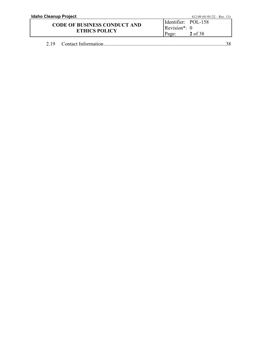| Idaho Cleanup Project               |                         | 412.09 $(01/01/22 - Rev. 13)$ |
|-------------------------------------|-------------------------|-------------------------------|
|                                     | Identifier: POL-158     |                               |
| <b>CODE OF BUSINESS CONDUCT AND</b> | $\text{Revision}^*$ : 0 |                               |
| <b>ETHICS POLICY</b>                | Page:                   | 2 of 38                       |
|                                     |                         |                               |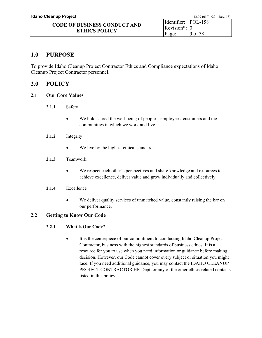## <span id="page-3-0"></span>**1.0 PURPOSE**

To provide Idaho Cleanup Project Contractor Ethics and Compliance expectations of Idaho Cleanup Project Contractor personnel.

## <span id="page-3-1"></span>**2.0 POLICY**

- <span id="page-3-2"></span>**2.1 Our Core Values**
	- **2.1.1** Safety
		- We hold sacred the well-being of people—employees, customers and the communities in which we work and live.
	- **2.1.2** Integrity
		- We live by the highest ethical standards.

#### **2.1.3** Teamwork

• We respect each other's perspectives and share knowledge and resources to achieve excellence, deliver value and grow individually and collectively.

#### **2.1.4** Excellence

• We deliver quality services of unmatched value, constantly raising the bar on our performance.

#### <span id="page-3-3"></span>**2.2 Getting to Know Our Code**

#### **2.2.1 What is Our Code?**

• It is the centerpiece of our commitment to conducting Idaho Cleanup Project Contractor, business with the highest standards of business ethics. It is a resource for you to use when you need information or guidance before making a decision. However, our Code cannot cover every subject or situation you might face. If you need additional guidance, you may contact the IDAHO CLEANUP PROJECT CONTRACTOR HR Dept. or any of the other ethics-related contacts listed in this policy.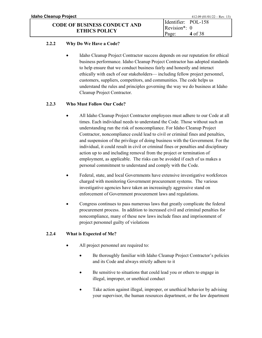#### **2.2.2 Why Do We Have a Code?**

• Idaho Cleanup Project Contractor success depends on our reputation for ethical business performance. Idaho Cleanup Project Contractor has adopted standards to help ensure that we conduct business fairly and honestly and interact ethically with each of our stakeholders— including fellow project personnel, customers, suppliers, competitors, and communities. The code helps us understand the rules and principles governing the way we do business at Idaho Cleanup Project Contractor.

#### **2.2.3 Who Must Follow Our Code?**

- All Idaho Cleanup Project Contractor employees must adhere to our Code at all times. Each individual needs to understand the Code. Those without such an understanding run the risk of noncompliance. For Idaho Cleanup Project Contractor, noncompliance could lead to civil or criminal fines and penalties, and suspension of the privilege of doing business with the Government. For the individual, it could result in civil or criminal fines or penalties and disciplinary action up to and including removal from the project or termination of employment, as applicable. The risks can be avoided if each of us makes a personal commitment to understand and comply with the Code.
- Federal, state, and local Governments have extensive investigative workforces charged with monitoring Government procurement systems. The various investigative agencies have taken an increasingly aggressive stand on enforcement of Government procurement laws and regulations.
- Congress continues to pass numerous laws that greatly complicate the federal procurement process. In addition to increased civil and criminal penalties for noncompliance, many of these new laws include fines and imprisonment of project personnel guilty of violations

#### **2.2.4 What is Expected of Me?**

- All project personnel are required to:
	- Be thoroughly familiar with Idaho Cleanup Project Contractor's policies and its Code and always strictly adhere to it
	- Be sensitive to situations that could lead you or others to engage in illegal, improper, or unethical conduct
	- Take action against illegal, improper, or unethical behavior by advising your supervisor, the human resources department, or the law department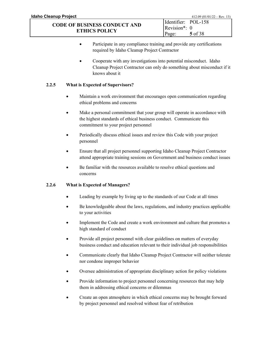- Participate in any compliance training and provide any certifications required by Idaho Cleanup Project Contractor
- Cooperate with any investigations into potential misconduct. Idaho Cleanup Project Contractor can only do something about misconduct if it knows about it

### **2.2.5 What is Expected of Supervisors?**

- Maintain a work environment that encourages open communication regarding ethical problems and concerns
- Make a personal commitment that your group will operate in accordance with the highest standards of ethical business conduct. Communicate this commitment to your project personnel
- Periodically discuss ethical issues and review this Code with your project personnel
- Ensure that all project personnel supporting Idaho Cleanup Project Contractor attend appropriate training sessions on Government and business conduct issues
- Be familiar with the resources available to resolve ethical questions and concerns

#### **2.2.6 What is Expected of Managers?**

- Leading by example by living up to the standards of our Code at all times
- Be knowledgeable about the laws, regulations, and industry practices applicable to your activities
- Implement the Code and create a work environment and culture that promotes a high standard of conduct
- Provide all project personnel with clear guidelines on matters of everyday business conduct and education relevant to their individual job responsibilities
- Communicate clearly that Idaho Cleanup Project Contractor will neither tolerate nor condone improper behavior
- Oversee administration of appropriate disciplinary action for policy violations
- Provide information to project personnel concerning resources that may help them in addressing ethical concerns or dilemmas
- Create an open atmosphere in which ethical concerns may be brought forward by project personnel and resolved without fear of retribution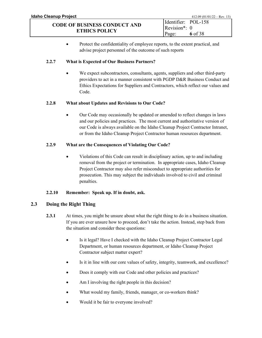• Protect the confidentiality of employee reports, to the extent practical, and advise project personnel of the outcome of such reports

#### **2.2.7 What is Expected of Our Business Partners?**

We expect subcontractors, consultants, agents, suppliers and other third-party providers to act in a manner consistent with PGDP D&R Business Conduct and Ethics Expectations for Suppliers and Contractors, which reflect our values and Code.

#### **2.2.8 What about Updates and Revisions to Our Code?**

• Our Code may occasionally be updated or amended to reflect changes in laws and our policies and practices. The most current and authoritative version of our Code is always available on the Idaho Cleanup Project Contractor Intranet, or from the Idaho Cleanup Project Contractor human resources department.

#### **2.2.9 What are the Consequences of Violating Our Code?**

• Violations of this Code can result in disciplinary action, up to and including removal from the project or termination. In appropriate cases, Idaho Cleanup Project Contractor may also refer misconduct to appropriate authorities for prosecution. This may subject the individuals involved to civil and criminal penalties.

#### **2.2.10 Remember: Speak up. If in doubt, ask.**

#### <span id="page-6-0"></span>**2.3 Doing the Right Thing**

- **2.3.1** At times, you might be unsure about what the right thing to do in a business situation. If you are ever unsure how to proceed, don't take the action. Instead, step back from the situation and consider these questions:
	- Is it legal? Have I checked with the Idaho Cleanup Project Contractor Legal Department, or human resources department, or Idaho Cleanup Project Contractor subject matter expert?
	- Is it in line with our core values of safety, integrity, teamwork, and excellence?
	- Does it comply with our Code and other policies and practices?
	- Am I involving the right people in this decision?
	- What would my family, friends, manager, or co-workers think?
	- Would it be fair to everyone involved?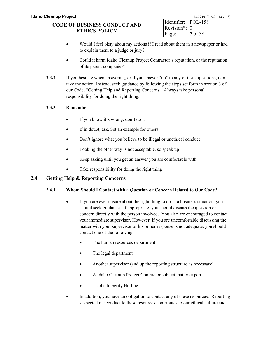- Would I feel okay about my actions if I read about them in a newspaper or had to explain them to a judge or jury?
- Could it harm Idaho Cleanup Project Contractor's reputation, or the reputation of its parent companies?
- **2.3.2** If you hesitate when answering, or if you answer "no" to any of these questions, don't take the action. Instead, seek guidance by following the steps set forth in section 3 of our Code, "Getting Help and Reporting Concerns." Always take personal responsibility for doing the right thing.

## **2.3.3 Remember**:

- If you know it's wrong, don't do it
- If in doubt, ask. Set an example for others
- Don't ignore what you believe to be illegal or unethical conduct
- Looking the other way is not acceptable, so speak up
- Keep asking until you get an answer you are comfortable with
- Take responsibility for doing the right thing

## <span id="page-7-0"></span>**2.4 Getting Help & Reporting Concerns**

## **2.4.1 Whom Should I Contact with a Question or Concern Related to Our Code?**

- If you are ever unsure about the right thing to do in a business situation, you should seek guidance. If appropriate, you should discuss the question or concern directly with the person involved. You also are encouraged to contact your immediate supervisor. However, if you are uncomfortable discussing the matter with your supervisor or his or her response is not adequate, you should contact one of the following:
	- The human resources department
	- The legal department
	- Another supervisor (and up the reporting structure as necessary)
	- A Idaho Cleanup Project Contractor subject matter expert
	- Jacobs Integrity Hotline
- In addition, you have an obligation to contact any of these resources. Reporting suspected misconduct to these resources contributes to our ethical culture and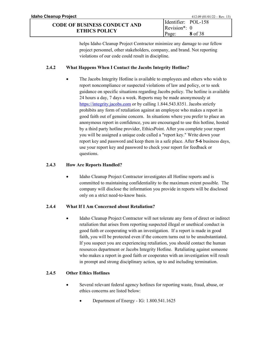helps Idaho Cleanup Project Contractor minimize any damage to our fellow project personnel, other stakeholders, company, and brand. Not reporting violations of our code could result in discipline.

Page:

**8** of 38

#### **2.4.2 What Happens When I Contact the Jacobs Integrity Hotline?**

• The Jacobs Integrity Hotline is available to employees and others who wish to report noncompliance or suspected violations of law and policy, or to seek guidance on specific situations regarding Jacobs policy. The hotline is available 24 hours a day, 7 days a week. Reports may be made anonymously at [https://integrity.jacobs.com](https://integrity.jacobs.com/) or by calling 1.844.543.8351. Jacobs strictly prohibits any form of retaliation against an employee who makes a report in good faith out of genuine concern. In situations where you prefer to place an anonymous report in confidence, you are encouraged to use this hotline, hosted by a third party hotline provider, EthicsPoint. After you complete your report you will be assigned a unique code called a "report key." Write down your report key and password and keep them in a safe place. After **5-6** business days, use your report key and password to check your report for feedback or questions.

#### **2.4.3 How Are Reports Handled?**

• Idaho Cleanup Project Contractor investigates all Hotline reports and is committed to maintaining confidentiality to the maximum extent possible. The company will disclose the information you provide in reports will be disclosed only on a strict need-to-know basis.

#### **2.4.4 What If I Am Concerned about Retaliation?**

• Idaho Cleanup Project Contractor will not tolerate any form of direct or indirect retaliation that arises from reporting suspected illegal or unethical conduct in good faith or cooperating with an investigation. If a report is made in good faith, you will be protected even if the concern turns out to be unsubstantiated. If you suspect you are experiencing retaliation, you should contact the human resources department or Jacobs Integrity Hotline. Retaliating against someone who makes a report in good faith or cooperates with an investigation will result in prompt and strong disciplinary action, up to and including termination.

#### **2.4.5 Other Ethics Hotlines**

- Several relevant federal agency hotlines for reporting waste, fraud, abuse, or ethics concerns are listed below:
	- Department of Energy IG: 1.800.541.1625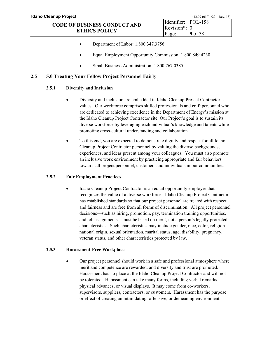- Department of Labor: 1.800.347.3756
- Equal Employment Opportunity Commission: 1.800.849.4230
- Small Business Administration: 1.800.767.0385

#### <span id="page-9-0"></span>**2.5 5.0 Treating Your Fellow Project Personnel Fairly**

#### **2.5.1 Diversity and Inclusion**

- Diversity and inclusion are embedded in Idaho Cleanup Project Contractor's values. Our workforce comprises skilled professionals and craft personnel who are dedicated to achieving excellence in the Department of Energy's mission at the Idaho Cleanup Project Contractor site. Our Project's goal is to sustain its diverse workforce by leveraging each individual's knowledge and talents while promoting cross-cultural understanding and collaboration.
- To this end, you are expected to demonstrate dignity and respect for all Idaho Cleanup Project Contractor personnel by valuing the diverse backgrounds, experiences, and ideas present among your colleagues. You must also promote an inclusive work environment by practicing appropriate and fair behaviors towards all project personnel, customers and individuals in our communities.

#### **2.5.2 Fair Employment Practices**

Idaho Cleanup Project Contractor is an equal opportunity employer that recognizes the value of a diverse workforce. Idaho Cleanup Project Contractor has established standards so that our project personnel are treated with respect and fairness and are free from all forms of discrimination. All project personnel decisions—such as hiring, promotion, pay, termination training opportunities, and job assignments—must be based on merit, not a person's legally protected characteristics. Such characteristics may include gender, race, color, religion national origin, sexual orientation, marital status, age, disability, pregnancy, veteran status, and other characteristics protected by law.

#### **2.5.3 Harassment-Free Workplace**

• Our project personnel should work in a safe and professional atmosphere where merit and competence are rewarded, and diversity and trust are promoted. Harassment has no place at the Idaho Cleanup Project Contractor and will not be tolerated. Harassment can take many forms, including verbal remarks, physical advances, or visual displays. It may come from co-workers, supervisors, suppliers, contractors, or customers. Harassment has the purpose or effect of creating an intimidating, offensive, or demeaning environment.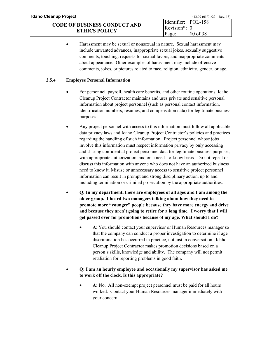• Harassment may be sexual or nonsexual in nature. Sexual harassment may include unwanted advances, inappropriate sexual jokes, sexually suggestive comments, touching, requests for sexual favors, and inappropriate comments about appearance. Other examples of harassment may include offensive comments, jokes, or pictures related to race, religion, ethnicity, gender, or age.

Page:

**10** of 38

#### **2.5.4 Employee Personal Information**

**ETHICS POLICY**

- For personnel, payroll, health care benefits, and other routine operations, Idaho Cleanup Project Contractor maintains and uses private and sensitive personal information about project personnel (such as personal contact information, identification numbers, resumes, and compensation data) for legitimate business purposes.
- Any project personnel with access to this information must follow all applicable data privacy laws and Idaho Cleanup Project Contractor's policies and practices regarding the handling of such information. Project personnel whose jobs involve this information must respect information privacy by only accessing and sharing confidential project personnel data for legitimate business purposes, with appropriate authorization, and on a need- to-know basis. Do not repeat or discuss this information with anyone who does not have an authorized business need to know it. Misuse or unnecessary access to sensitive project personnel information can result in prompt and strong disciplinary action, up to and including termination or criminal prosecution by the appropriate authorities.
- **Q: In my department, there are employees of all ages and I am among the older group. I heard two managers talking about how they need to promote more "younger" people because they have more energy and drive and because they aren't going to retire for a long time. I worry that I will get passed over for promotions because of my age. What should I do?**
	- **A**: You should contact your supervisor or Human Resources manager so that the company can conduct a proper investigation to determine if age discrimination has occurred in practice, not just in conversation. Idaho Cleanup Project Contractor makes promotion decisions based on a person's skills, knowledge and ability. The company will not permit retaliation for reporting problems in good faith**.**
- **Q: I am an hourly employee and occasionally my supervisor has asked me to work off the clock. Is this appropriate?**
	- **A:** No. All non-exempt project personnel must be paid for all hours worked. Contact your Human Resources manager immediately with your concern.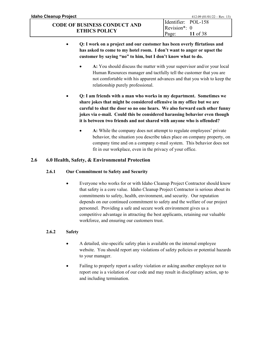- **Q: I work on a project and our customer has been overly flirtatious and has asked to come to my hotel room. I don't want to anger or upset the customer by saying "no" to him, but I don't know what to do.**
	- **A:** You should discuss the matter with your supervisor and/or your local Human Resources manager and tactfully tell the customer that you are not comfortable with his apparent advances and that you wish to keep the relationship purely professional.
- **Q: I am friends with a man who works in my department. Sometimes we share jokes that might be considered offensive in my office but we are careful to shut the door so no one hears. We also forward each other funny jokes via e-mail. Could this be considered harassing behavior even though it is between two friends and not shared with anyone who is offended?**
	- A: While the company does not attempt to regulate employees' private behavior, the situation you describe takes place on company property, on company time and on a company e-mail system. This behavior does not fit in our workplace, even in the privacy of your office.

## <span id="page-11-0"></span>**2.6 6.0 Health, Safety, & Environmental Protection**

#### **2.6.1 Our Commitment to Safety and Security**

• Everyone who works for or with Idaho Cleanup Project Contractor should know that safety is a core value. Idaho Cleanup Project Contractor is serious about its commitments to safety, health, environment, and security. Our reputation depends on our continued commitment to safety and the welfare of our project personnel. Providing a safe and secure work environment gives us a competitive advantage in attracting the best applicants, retaining our valuable workforce, and ensuring our customers trust.

#### **2.6.2 Safety**

- A detailed, site-specific safety plan is available on the internal employee website. You should report any violations of safety policies or potential hazards to your manager.
- Failing to properly report a safety violation or asking another employee not to report one is a violation of our code and may result in disciplinary action, up to and including termination.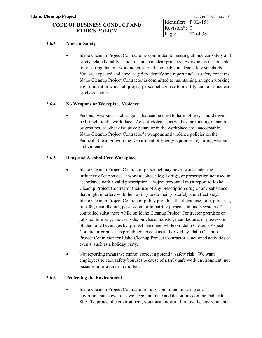#### **2.6.3 Nuclear Safety**

• Idaho Cleanup Project Contractor is committed to meeting all nuclear safety and safety-related quality standards on its nuclear projects. Everyone is responsible for ensuring that our work adheres to all applicable nuclear safety standards. You are expected and encouraged to identify and report nuclear safety concerns. Idaho Cleanup Project Contractor is committed to maintaining an open working environment in which all project personnel are free to identify and raise nuclear safety concerns.

#### **2.6.4 No Weapons or Workplace Violence**

• Personal weapons, such as guns that can be used to harm others, should never be brought to the workplace. Acts of violence, as well as threatening remarks or gestures, or other disruptive behavior in the workplace are unacceptable. Idaho Cleanup Project Contractor's weapons and violence policies on the Paducah Site align with the Department of Energy's policies regarding weapons and violence.

#### **2.6.5 Drug-and Alcohol-Free Workplace**

- Idaho Cleanup Project Contractor personnel may never work under the influence of or possess at work alcohol, illegal drugs, or prescription not used in accordance with a valid prescription. Project personnel must report to Idaho Cleanup Project Contractor their use of any prescription drug or any substance that might interfere with their ability to do their job safely and effectively. Idaho Cleanup Project Contractor policy prohibits the illegal use, sale, purchase, transfer, manufacture, possession, or impairing presence in one's system of controlled substances while on Idaho Cleanup Project Contractor premises or jobsite. Similarly, the use, sale, purchase, transfer, manufacture, or possession of alcoholic beverages by project personnel while on Idaho Cleanup Project Contractor premises is prohibited, except as authorized by Idaho Cleanup Project Contractor for Idaho Cleanup Project Contractor-sanctioned activities or events, such as a holiday party.
- Not reporting means we cannot correct a potential safety risk. We want employees to earn safety bonuses because of a truly safe work environment, not because injuries aren't reported.

#### **2.6.6 Protecting the Environment**

• Idaho Cleanup Project Contractor is fully committed to acting as an environmental steward as we decontaminate and decommission the Paducah Site. To protect the environment, you must know and follow the environmental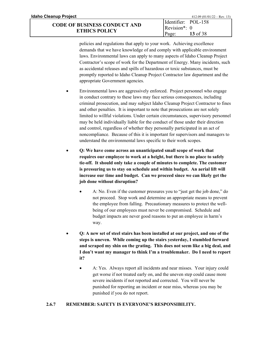| Idaho Cleanup Project               |                             | $412.09 (01/01/22 - Rev. 13)$ |
|-------------------------------------|-----------------------------|-------------------------------|
| <b>CODE OF BUSINESS CONDUCT AND</b> | Identifier: POL-158         |                               |
|                                     | Revision <sup>*</sup> : $0$ |                               |
| <b>ETHICS POLICY</b>                | Page:                       | 13 of 38                      |

policies and regulations that apply to your work. Achieving excellence demands that we have knowledge of and comply with applicable environment laws. Environmental laws can apply to many aspects of Idaho Cleanup Project Contractor's scope of work for the Department of Energy. Many incidents, such as accidental releases and spills of hazardous or toxic substances, must be promptly reported to Idaho Cleanup Project Contractor law department and the appropriate Government agencies.

- Environmental laws are aggressively enforced. Project personnel who engage in conduct contrary to these laws may face serious consequences, including criminal prosecution, and may subject Idaho Cleanup Project Contractor to fines and other penalties. It is important to note that prosecutions are not solely limited to willful violations. Under certain circumstances, supervisory personnel may be held individually liable for the conduct of those under their direction and control, regardless of whether they personally participated in an act of noncompliance. Because of this it is important for supervisors and managers to understand the environmental laws specific to their work scopes.
- **Q: We have come across an unanticipated small scope of work that requires our employee to work at a height, but there is no place to safely tie-off. It should only take a couple of minutes to complete. The customer is pressuring us to stay on schedule and within budget. An aerial lift will increase our time and budget. Can we proceed since we can likely get the job done without disruption?**
	- A: No. Even if the customer pressures you to "just get the job done," do not proceed. Stop work and determine an appropriate means to prevent the employee from falling. Precautionary measures to protect the wellbeing of our employees must never be compromised. Schedule and budget impacts are never good reasons to put an employee in harm's way.
- **Q: A new set of steel stairs has been installed at our project, and one of the steps is uneven. While coming up the stairs yesterday, I stumbled forward and scraped my shin on the grating. This does not seem like a big deal, and I don't want my manager to think I'm a troublemaker. Do I need to report it?**
	- A: Yes. Always report all incidents and near misses. Your injury could get worse if not treated early on, and the uneven step could cause more severe incidents if not reported and corrected. You will never be punished for reporting an incident or near miss, whereas you may be punished if you do not report.

#### **2.6.7 REMEMBER: SAFETY IS EVERYONE'S RESPONSIBILITY.**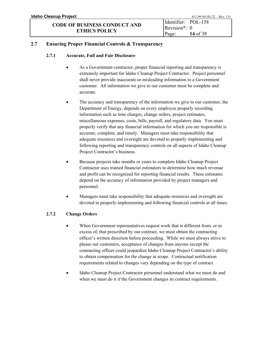#### <span id="page-14-0"></span>**2.7 Ensuring Proper Financial Controls & Transparency**

#### **2.7.1 Accurate, Full and Fair Disclosure**

- As a Government contractor, proper financial reporting and transparency is extremely important for Idaho Cleanup Project Contractor. Project personnel shall never provide inaccurate or misleading information to a Government customer. All information we give to our customer must be complete and accurate.
- The accuracy and transparency of the information we give to our customer, the Department of Energy, depends on every employee properly recording information such as time charges, change orders, project estimates, miscellaneous expenses, costs, bills, payroll, and regulatory data. You must properly verify that any financial information for which you are responsible is accurate, complete, and timely. Managers must take responsibility that adequate resources and oversight are devoted to properly implementing and following reporting and transparency controls on all aspects of Idaho Cleanup Project Contractor's business.
- Because projects take months or years to complete Idaho Cleanup Project Contractor uses trained financial estimators to determine how much revenue and profit can be recognized for reporting financial results. These estimates depend on the accuracy of information provided by project managers and personnel.
- Managers must take responsibility that adequate resources and oversight are devoted to properly implementing and following financial controls at all times.

#### **2.7.2 Change Orders**

- When Government representatives request work that is different from, or in excess of, that prescribed by our contract, we must obtain the contracting officer's written direction before proceeding. While we must always strive to please our customers, acceptance of changes from anyone except the contracting officer could jeopardize Idaho Cleanup Project Contractor's ability to obtain compensation for the change in scope. Contractual notification requirements related to changes vary depending on the type of contract.
- Idaho Cleanup Project Contractor personnel understand what we must do and when we must do it if the Government changes its contract requirements.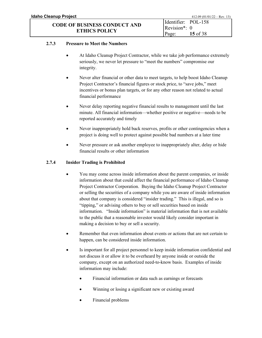#### **2.7.3 Pressure to Meet the Numbers**

- At Idaho Cleanup Project Contractor, while we take job performance extremely seriously, we never let pressure to "meet the numbers" compromise our integrity.
- Never alter financial or other data to meet targets, to help boost Idaho Cleanup Project Contractor's financial figures or stock price, to "save jobs," meet incentives or bonus plan targets, or for any other reason not related to actual financial performance
- Never delay reporting negative financial results to management until the last minute. All financial information—whether positive or negative—needs to be reported accurately and timely
- Never inappropriately hold back reserves, profits or other contingencies when a project is doing well to protect against possible bad numbers at a later time
- Never pressure or ask another employee to inappropriately alter, delay or hide financial results or other information

#### **2.7.4 Insider Trading is Prohibited**

- You may come across inside information about the parent companies, or inside information about that could affect the financial performance of Idaho Cleanup Project Contractor Corporation. Buying the Idaho Cleanup Project Contractor or selling the securities of a company while you are aware of inside information about that company is considered "insider trading." This is illegal, and so is "tipping," or advising others to buy or sell securities based on inside information. "Inside information" is material information that is not available to the public that a reasonable investor would likely consider important in making a decision to buy or sell a security.
- Remember that even information about events or actions that are not certain to happen, can be considered inside information.
- Is important for all project personnel to keep inside information confidential and not discuss it or allow it to be overheard by anyone inside or outside the company, except on an authorized need-to-know basis. Examples of inside information may include:
	- Financial information or data such as earnings or forecasts
	- Winning or losing a significant new or existing award
	- Financial problems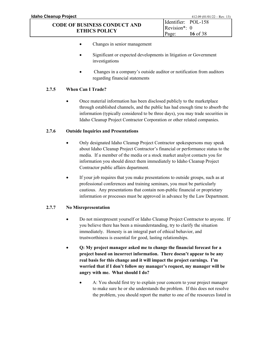- Changes in senior management
- Significant or expected developments in litigation or Government investigations
- Changes in a company's outside auditor or notification from auditors regarding financial statements

### **2.7.5 When Can I Trade?**

• Once material information has been disclosed publicly to the marketplace through established channels, and the public has had enough time to absorb the information (typically considered to be three days), you may trade securities in Idaho Cleanup Project Contractor Corporation or other related companies.

#### **2.7.6 Outside Inquiries and Presentations**

- Only designated Idaho Cleanup Project Contractor spokespersons may speak about Idaho Cleanup Project Contractor's financial or performance status to the media. If a member of the media or a stock market analyst contacts you for information you should direct them immediately to Idaho Cleanup Project Contractor public affairs department.
- If your job requires that you make presentations to outside groups, such as at professional conferences and training seminars, you must be particularly cautious. Any presentations that contain non-public financial or proprietary information or processes must be approved in advance by the Law Department.

#### **2.7.7 No Misrepresentation**

- Do not misrepresent yourself or Idaho Cleanup Project Contractor to anyone. If you believe there has been a misunderstanding, try to clarify the situation immediately. Honesty is an integral part of ethical behavior, and trustworthiness is essential for good, lasting relationships.
- **Q: My project manager asked me to change the financial forecast for a project based on incorrect information. There doesn't appear to be any real basis for this change and it will impact the project earnings. I'm worried that if I don't follow my manager's request, my manager will be angry with me. What should I do?**
	- A: You should first try to explain your concern to your project manager to make sure he or she understands the problem. If this does not resolve the problem, you should report the matter to one of the resources listed in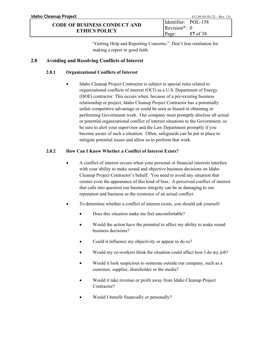"Getting Help and Reporting Concerns." Don't fear retaliation for making a report in good faith.

### <span id="page-17-0"></span>**2.8 Avoiding and Resolving Conflicts of Interest**

#### **2.8.1 Organizational Conflicts of Interest**

Idaho Cleanup Project Contractor is subject to special rules related to organizational conflicts of interest (OCI) as a U.S. Department of Energy (DOE) contractor. This occurs when, because of a pre-existing business relationship or project, Idaho Cleanup Project Contractor has a potentially unfair competitive advantage or could be seen as biased in obtaining or performing Government work. Our company must promptly disclose all actual or potential organizational conflict of interest situations to the Government, so be sure to alert your supervisor and the Law Department promptly if you become aware of such a situation. Often, safeguards can be put in place to mitigate potential issues and allow us to perform that work.

#### **2.8.2 How Can I Know Whether a Conflict of Interest Exists?**

- A conflict of interest occurs when your personal or financial interests interfere with your ability to make sound and objective business decisions on Idaho Cleanup Project Contractor's behalf. You need to avoid any situation that creates even the appearance of this kind of bias. A perceived conflict of interest that calls into question our business integrity can be as damaging to our reputation and business as the existence of an actual conflict.
- To determine whether a conflict of interest exists, you should ask yourself:
	- Does this situation make me feel uncomfortable?
	- Would the action have the potential to affect my ability to make sound business decisions?
	- Could it influence my objectivity or appear to do so?
	- Would my co-workers think the situation could affect how I do my job?
	- Would it look suspicious to someone outside our company, such as a customer, supplier, shareholder or the media?
	- Would it take revenue or profit away from Idaho Cleanup Project Contractor?
	- Would I benefit financially or personally?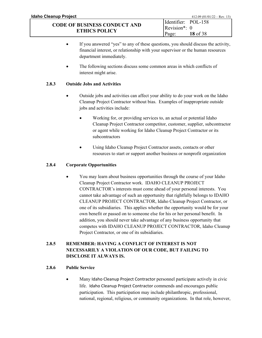- If you answered "yes" to any of these questions, you should discuss the activity, financial interest, or relationship with your supervisor or the human resources department immediately.
- The following sections discuss some common areas in which conflicts of interest might arise.

### **2.8.3 Outside Jobs and Activities**

- Outside jobs and activities can affect your ability to do your work on the Idaho Cleanup Project Contractor without bias. Examples of inappropriate outside jobs and activities include:
	- Working for, or providing services to, an actual or potential Idaho Cleanup Project Contractor competitor, customer, supplier, subcontractor or agent while working for Idaho Cleanup Project Contractor or its subcontractors
	- Using Idaho Cleanup Project Contractor assets, contacts or other resources to start or support another business or nonprofit organization

#### **2.8.4 Corporate Opportunities**

• You may learn about business opportunities through the course of your Idaho Cleanup Project Contractor work. IDAHO CLEANUP PROJECT CONTRACTOR's interests must come ahead of your personal interests. You cannot take advantage of such an opportunity that rightfully belongs to IDAHO CLEANUP PROJECT CONTRACTOR, Idaho Cleanup Project Contractor, or one of its subsidiaries. This applies whether the opportunity would be for your own benefit or passed on to someone else for his or her personal benefit. In addition, you should never take advantage of any business opportunity that competes with IDAHO CLEANUP PROJECT CONTRACTOR, Idaho Cleanup Project Contractor, or one of its subsidiaries.

## **2.8.5 REMEMBER: HAVING A CONFLICT OF INTEREST IS NOT NECESSARILY A VIOLATION OF OUR CODE, BUT FAILING TO DISCLOSE IT ALWAYS IS.**

#### **2.8.6 Public Service**

• Many Idaho Cleanup Project Contractor personnel participate actively in civic life. Idaho Cleanup Project Contractor commends and encourages public participation. This participation may include philanthropic, professional, national, regional, religious, or community organizations. In that role, however,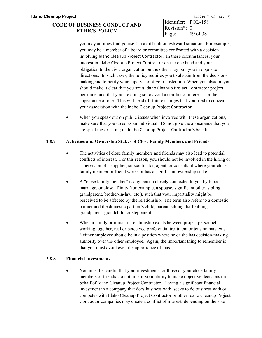you may at times find yourself in a difficult or awkward situation. For example, you may be a member of a board or committee confronted with a decision involving Idaho Cleanup Project Contractor. In these circumstances, your interest in Idaho Cleanup Project Contractor on the one hand and your obligation to the civic organization on the other may pull you in opposite directions. In such cases, the policy requires you to abstain from the decisionmaking and to notify your supervisor of your abstention. When you abstain, you should make it clear that you are a Idaho Cleanup Project Contractor project personnel and that you are doing so to avoid a conflict of interest—or the appearance of one. This will head off future charges that you tried to conceal your association with the Idaho Cleanup Project Contractor.

• When you speak out on public issues when involved with these organizations, make sure that you do so as an individual. Do not give the appearance that you are speaking or acting on Idaho Cleanup Project Contractor's behalf.

## **2.8.7 Activities and Ownership Stakes of Close Family Members and Friends**

- The activities of close family members and friends may also lead to potential conflicts of interest. For this reason, you should not be involved in the hiring or supervision of a supplier, subcontractor, agent, or consultant where your close family member or friend works or has a significant ownership stake.
- A "close family member" is any person closely connected to you by blood, marriage, or close affinity (for example, a spouse, significant other, sibling, grandparent, brother-in-law, etc.), such that your impartiality might be perceived to be affected by the relationship. The term also refers to a domestic partner and the domestic partner's child, parent, sibling, half-sibling, grandparent, grandchild, or stepparent.
- When a family or romantic relationship exists between project personnel working together, real or perceived preferential treatment or tension may exist. Neither employee should be in a position where he or she has decision-making authority over the other employee. Again, the important thing to remember is that you must avoid even the appearance of bias.

## **2.8.8 Financial Investments**

• You must be careful that your investments, or those of your close family members or friends, do not impair your ability to make objective decisions on behalf of Idaho Cleanup Project Contractor. Having a significant financial investment in a company that does business with, seeks to do business with or competes with Idaho Cleanup Project Contractor or other Idaho Cleanup Project Contractor companies may create a conflict of interest, depending on the size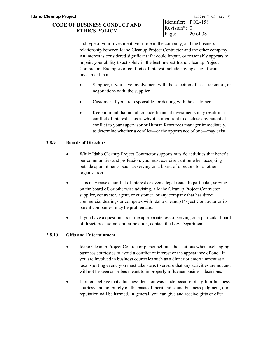| Idaho Cleanup Project                                       |                       | $412.09 (01/01/22 - Rev. 13)$ |
|-------------------------------------------------------------|-----------------------|-------------------------------|
|                                                             | Identifier: POL-158   |                               |
| <b>CODE OF BUSINESS CONDUCT AND</b><br><b>ETHICS POLICY</b> | $\text{Revision*}: 0$ |                               |
|                                                             | Page:                 | $20$ of 38                    |

and type of your investment, your role in the company, and the business relationship between Idaho Cleanup Project Contractor and the other company. An interest is considered significant if it could impair, or reasonably appears to impair, your ability to act solely in the best interest Idaho Cleanup Project Contractor. Examples of conflicts of interest include having a significant investment in a:

- Supplier, if you have involvement with the selection of, assessment of, or negotiations with, the supplier
- Customer, if you are responsible for dealing with the customer
- Keep in mind that not all outside financial investments may result in a conflict of interest. This is why it is important to disclose any potential conflict to your supervisor or Human Resources manager immediately, to determine whether a conflict—or the appearance of one—may exist

### **2.8.9 Boards of Directors**

- While Idaho Cleanup Project Contractor supports outside activities that benefit our communities and profession, you must exercise caution when accepting outside appointments, such as serving on a board of directors for another organization.
- This may raise a conflict of interest or even a legal issue. In particular, serving on the board of, or otherwise advising, a Idaho Cleanup Project Contractor supplier, contractor, agent, or customer, or any company that has direct commercial dealings or competes with Idaho Cleanup Project Contractor or its parent companies, may be problematic.
- If you have a question about the appropriateness of serving on a particular board of directors or some similar position, contact the Law Department.

## **2.8.10 Gifts and Entertainment**

- Idaho Cleanup Project Contractor personnel must be cautious when exchanging business courtesies to avoid a conflict of interest or the appearance of one. If you are involved in business courtesies such as a dinner or entertainment at a local sporting event, you must take steps to ensure that any activities are not and will not be seen as bribes meant to improperly influence business decisions.
- If others believe that a business decision was made because of a gift or business courtesy and not purely on the basis of merit and sound business judgment, our reputation will be harmed. In general, you can give and receive gifts or offer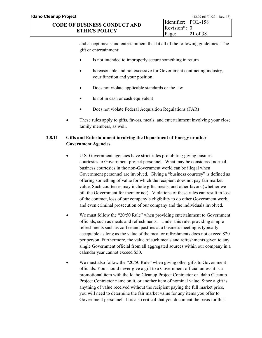and accept meals and entertainment that fit all of the following guidelines. The gift or entertainment:

Page:

**21** of 38

- Is not intended to improperly secure something in return
- Is reasonable and not excessive for Government contracting industry, your function and your position.
- Does not violate applicable standards or the law
- Is not in cash or cash equivalent
- Does not violate Federal Acquisition Regulations (FAR)
- These rules apply to gifts, favors, meals, and entertainment involving your close family members, as well.

#### **2.8.11 Gifts and Entertainment involving the Department of Energy or other Government Agencies**

- U.S. Government agencies have strict rules prohibiting giving business courtesies to Government project personnel. What may be considered normal business courtesies in the non-Government world can be illegal when Government personnel are involved. Giving a "business courtesy" is defined as offering something of value for which the recipient does not pay fair market value. Such courtesies may include gifts, meals, and other favors (whether we bill the Government for them or not). Violations of these rules can result in loss of the contract, loss of our company's eligibility to do other Government work, and even criminal prosecution of our company and the individuals involved.
- We must follow the "20/50 Rule" when providing entertainment to Government officials, such as meals and refreshments. Under this rule, providing simple refreshments such as coffee and pastries at a business meeting is typically acceptable as long as the value of the meal or refreshments does not exceed \$20 per person. Furthermore, the value of such meals and refreshments given to any single Government official from all aggregated sources within our company in a calendar year cannot exceed \$50.
- We must also follow the "20/50 Rule" when giving other gifts to Government officials. You should never give a gift to a Government official unless it is a promotional item with the Idaho Cleanup Project Contractor or Idaho Cleanup Project Contractor name on it, or another item of nominal value. Since a gift is anything of value received without the recipient paying the full market price, you will need to determine the fair market value for any items you offer to Government personnel. It is also critical that you document the basis for this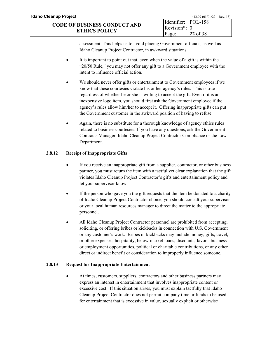assessment. This helps us to avoid placing Government officials, as well as Idaho Cleanup Project Contractor, in awkward situations.

- It is important to point out that, even when the value of a gift is within the "20/50 Rule," you may not offer any gift to a Government employee with the intent to influence official action.
- We should never offer gifts or entertainment to Government employees if we know that these courtesies violate his or her agency's rules. This is true regardless of whether he or she is willing to accept the gift. Even if it is an inexpensive logo item, you should first ask the Government employee if the agency's rules allow him/her to accept it. Offering inappropriate gifts can put the Government customer in the awkward position of having to refuse.
- Again, there is no substitute for a thorough knowledge of agency ethics rules related to business courtesies. If you have any questions, ask the Government Contracts Manager, Idaho Cleanup Project Contractor Compliance or the Law Department.

### **2.8.12 Receipt of Inappropriate Gifts**

- If you receive an inappropriate gift from a supplier, contractor, or other business partner, you must return the item with a tactful yet clear explanation that the gift violates Idaho Cleanup Project Contractor's gifts and entertainment policy and let your supervisor know.
- If the person who gave you the gift requests that the item be donated to a charity of Idaho Cleanup Project Contractor choice, you should consult your supervisor or your local human resources manager to direct the matter to the appropriate personnel.
- All Idaho Cleanup Project Contractor personnel are prohibited from accepting, soliciting, or offering bribes or kickbacks in connection with U.S. Government or any customer's work. Bribes or kickbacks may include money, gifts, travel, or other expenses, hospitality, below-market loans, discounts, favors, business or employment opportunities, political or charitable contributions, or any other direct or indirect benefit or consideration to improperly influence someone.

## **2.8.13 Request for Inappropriate Entertainment**

At times, customers, suppliers, contractors and other business partners may express an interest in entertainment that involves inappropriate content or excessive cost. If this situation arises, you must explain tactfully that Idaho Cleanup Project Contractor does not permit company time or funds to be used for entertainment that is excessive in value, sexually explicit or otherwise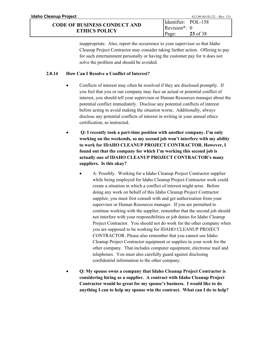inappropriate. Also, report the occurrence to your supervisor so that Idaho Cleanup Project Contractor may consider taking further action. Offering to pay for such entertainment personally or having the customer pay for it does not solve the problem and should be avoided.

Page:

**23** of 38

#### **2.8.14 How Can I Resolve a Conflict of Interest?**

- Conflicts of interest may often be resolved if they are disclosed promptly. If you feel that you or our company may face an actual or potential conflict of interest, you should tell your supervisor or Human Resources manager about the potential conflict immediately. Disclose any potential conflicts of interest before acting to avoid making the situation worse. Additionally, always disclose any potential conflicts of interest in writing in your annual ethics certification, as instructed.
- **Q: I recently took a part-time position with another company. I'm only working on the weekends, so my second job won't interfere with my ability to work for IDAHO CLEANUP PROJECT CONTRACTOR. However, I found out that the company for which I'm working this second job is actually one of IDAHO CLEANUP PROJECT CONTRACTOR's many suppliers. Is this okay?**
	- A: Possibly. Working for a Idaho Cleanup Project Contractor supplier while being employed for Idaho Cleanup Project Contractor work could create a situation in which a conflict of interest might arise. Before doing any work on behalf of this Idaho Cleanup Project Contractor supplier, you must first consult with and get authorization from your supervisor or Human Resources manager. If you are permitted to continue working with the supplier, remember that the second job should not interfere with your responsibilities or job duties for Idaho Cleanup Project Contractor. You should not do work for the other company when you are supposed to be working for IDAHO CLEANUP PROJECT CONTRACTOR. Please also remember that you cannot use Idaho Cleanup Project Contractor equipment or supplies in your work for the other company. That includes computer equipment, electronic mail and telephones. You must also carefully guard against disclosing confidential information to the other company.
- **Q: My spouse owns a company that Idaho Cleanup Project Contractor is considering hiring as a supplier. A contract with Idaho Cleanup Project Contractor would be great for my spouse's business. I would like to do anything I can to help my spouse win the contract. What can I do to help?**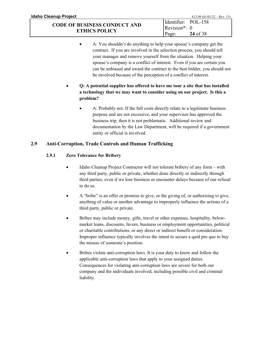• A: You shouldn't do anything to help your spouse's company get the contract. If you are involved in the selection process, you should tell your manager and remove yourself from the situation. Helping your spouse's company is a conflict of interest. Even if you are certain you can be unbiased and award the contract to the best bidder, you should not be involved because of the perception of a conflict of interest.

Page:

**24** of 38

- **Q: A potential supplier has offered to have me tour a site that has installed a technology that we may want to consider using on our project. Is this a problem?** 
	- A: Probably not. If the full costs directly relate to a legitimate business purpose and are not excessive, and your supervisor has approved the business trip, then it is not problematic. Additional review and documentation by the Law Department, will be required if a government entity or official is involved.

### <span id="page-24-0"></span>**2.9 Anti-Corruption, Trade Controls and Human Trafficking**

#### **2.9.1 Zero Tolerance for Bribery**

- Idaho Cleanup Project Contractor will not tolerate bribery of any form with any third party, public or private, whether done directly or indirectly through third parties, even if we lose business or encounter delays because of our refusal to do so.
- A "bribe" is an offer or promise to give, or the giving of, or authorizing to give, anything of value or another advantage to improperly influence the actions of a third party, public or private.
- Bribes may include money, gifts, travel or other expenses, hospitality, belowmarket loans, discounts, favors, business or employment opportunities, political or charitable contributions, or any direct or indirect benefit or consideration. Improper influence typically involves the intent to secure a quid pro quo to buy the misuse of someone's position.
- Bribes violate anti-corruption laws. It is your duty to know and follow the applicable anti-corruption laws that apply to your assigned duties. Consequences for violating anti-corruption laws are severe for both our company and the individuals involved, including possible civil and criminal liability.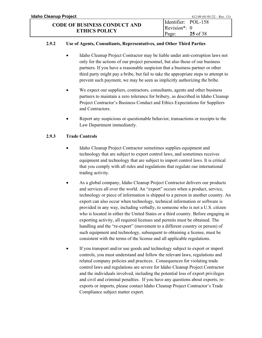#### **2.9.2 Use of Agents, Consultants, Representatives, and Other Third Parties**

- Idaho Cleanup Project Contractor may be liable under anti-corruption laws not only for the actions of our project personnel, but also those of our business partners. If you have a reasonable suspicion that a business partner or other third party might pay a bribe, but fail to take the appropriate steps to attempt to prevent such payment, we may be seen as implicitly authorizing the bribe.
- We expect our suppliers, contractors, consultants, agents and other business partners to maintain a zero tolerance for bribery, as described in Idaho Cleanup Project Contractor's Business Conduct and Ethics Expectations for Suppliers and Contractors.
- Report any suspicious or questionable behavior, transactions or receipts to the Law Department immediately.

#### **2.9.3 Trade Controls**

- Idaho Cleanup Project Contractor sometimes supplies equipment and technology that are subject to export control laws, and sometimes receives equipment and technology that are subject to import control laws. It is critical that you comply with all rules and regulations that regulate our international trading activity.
- As a global company, Idaho Cleanup Project Contractor delivers our products and services all over the world. An "export" occurs when a product, service, technology or piece of information is shipped to a person in another country. An export can also occur when technology, technical information or software is provided in any way, including verbally, to someone who is not a U.S. citizen who is located in either the United States or a third country. Before engaging in exporting activity, all required licenses and permits must be obtained. The handling and the "re-export" (movement to a different country or person) of such equipment and technology, subsequent to obtaining a license, must be consistent with the terms of the license and all applicable regulations.
- If you transport and/or use goods and technology subject to export or import controls, you must understand and follow the relevant laws, regulations and related company policies and practices. Consequences for violating trade control laws and regulations are severe for Idaho Cleanup Project Contractor and the individuals involved, including the potential loss of export privileges and civil and criminal penalties. If you have any questions about exports, reexports or imports, please contact Idaho Cleanup Project Contractor's Trade Compliance subject matter expert.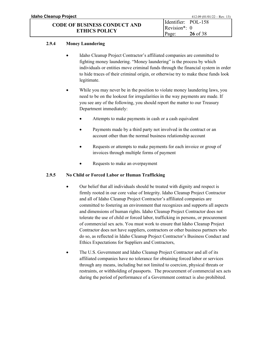#### **2.9.4 Money Laundering**

- Idaho Cleanup Project Contractor's affiliated companies are committed to fighting money laundering. "Money laundering" is the process by which individuals or entities move criminal funds through the financial system in order to hide traces of their criminal origin, or otherwise try to make these funds look legitimate.
- While you may never be in the position to violate money laundering laws, you need to be on the lookout for irregularities in the way payments are made. If you see any of the following, you should report the matter to our Treasury Department immediately:
	- Attempts to make payments in cash or a cash equivalent
	- Payments made by a third party not involved in the contract or an account other than the normal business relationship account
	- Requests or attempts to make payments for each invoice or group of invoices through multiple forms of payment
	- Requests to make an overpayment

#### **2.9.5 No Child or Forced Labor or Human Trafficking**

- Our belief that all individuals should be treated with dignity and respect is firmly rooted in our core value of Integrity. Idaho Cleanup Project Contractor and all of Idaho Cleanup Project Contractor's affiliated companies are committed to fostering an environment that recognizes and supports all aspects and dimensions of human rights. Idaho Cleanup Project Contractor does not tolerate the use of child or forced labor, trafficking in persons, or procurement of commercial sex acts. You must work to ensure that Idaho Cleanup Project Contractor does not have suppliers, contractors or other business partners who do so, as reflected in Idaho Cleanup Project Contractor's Business Conduct and Ethics Expectations for Suppliers and Contractors,
- The U.S. Government and Idaho Cleanup Project Contractor and all of its affiliated companies have no tolerance for obtaining forced labor or services through any means, including but not limited to coercion, physical threats or restraints, or withholding of passports. The procurement of commercial sex acts during the period of performance of a Government contract is also prohibited.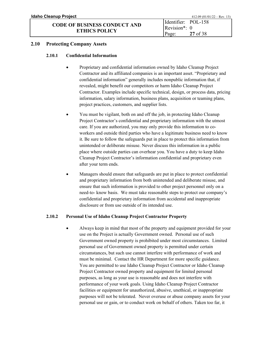#### <span id="page-27-0"></span>**2.10 Protecting Company Assets**

#### **2.10.1 Confidential Information**

- Proprietary and confidential information owned by Idaho Cleanup Project Contractor and its affiliated companies is an important asset. "Proprietary and confidential information" generally includes nonpublic information that, if revealed, might benefit our competitors or harm Idaho Cleanup Project Contractor. Examples include specific technical, design, or process data, pricing information, salary information, business plans, acquisition or teaming plans, project practices, customers, and supplier lists.
- You must be vigilant, both on and off the job, in protecting Idaho Cleanup Project Contractor's confidential and proprietary information with the utmost care. If you are authorized, you may only provide this information to coworkers and outside third parties who have a legitimate business need to know it. Be sure to follow the safeguards put in place to protect this information from unintended or deliberate misuse. Never discuss this information in a public place where outside parties can overhear you. You have a duty to keep Idaho Cleanup Project Contractor's information confidential and proprietary even after your term ends.
- Managers should ensure that safeguards are put in place to protect confidential and proprietary information from both unintended and deliberate misuse, and ensure that such information is provided to other project personnel only on a need-to- know basis. We must take reasonable steps to protect our company's confidential and proprietary information from accidental and inappropriate disclosure or from use outside of its intended use.

#### **2.10.2 Personal Use of Idaho Cleanup Project Contractor Property**

• Always keep in mind that most of the property and equipment provided for your use on the Project is actually Government owned. Personal use of such Government owned property is prohibited under most circumstances. Limited personal use of Government owned property is permitted under certain circumstances, but such use cannot interfere with performance of work and must be minimal. Contact the HR Department for more specific guidance. You are permitted to use Idaho Cleanup Project Contractor or Idaho Cleanup Project Contractor owned property and equipment for limited personal purposes, as long as your use is reasonable and does not interfere with performance of your work goals. Using Idaho Cleanup Project Contractor facilities or equipment for unauthorized, abusive, unethical, or inappropriate purposes will not be tolerated. Never overuse or abuse company assets for your personal use or gain, or to conduct work on behalf of others. Taken too far, it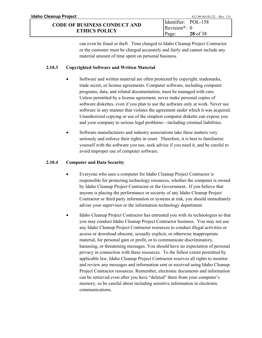#### **CODE OF BUSINESS CONDUCT AND ETHICS POLICY** Revision\*: 0 Page:

**28** of 38

## **2.10.3 Copyrighted Software and Written Material**

- Software and written material are often protected by copyright, trademarks, trade secret, or license agreements. Computer software, including computer programs, data, and related documentation, must be managed with care. Unless permitted by a license agreement, never make personal copies of software diskettes, even if you plan to use the software only at work. Never use software in any manner that violates the agreement under which it was acquired. Unauthorized copying or use of the simplest computer diskette can expose you and your company to serious legal problems—including criminal liabilities.
- Software manufacturers and industry associations take these matters very seriously and enforce their rights in court. Therefore, it is best to familiarize yourself with the software you use, seek advice if you need it, and be careful to avoid improper use of computer software.

## **2.10.4 Computer and Data Security**

- Everyone who uses a computer for Idaho Cleanup Project Contractor is responsible for protecting technology resources, whether the computer is owned by Idaho Cleanup Project Contractor or the Government. If you believe that anyone is placing the performance or security of any Idaho Cleanup Project Contractor or third party information or systems at risk, you should immediately advise your supervisor or the information technology department.
- Idaho Cleanup Project Contractor has entrusted you with its technologies so that you may conduct Idaho Cleanup Project Contractor business. You may not use any Idaho Cleanup Project Contractor resources to conduct illegal activities or access or download obscene, sexually explicit, or otherwise inappropriate material, for personal gain or profit, or to communicate discriminatory, harassing, or threatening messages. You should have no expectation of personal privacy in connection with these resources. To the fullest extent permitted by applicable law, Idaho Cleanup Project Contractor reserves all rights to monitor and review any messages and information sent or received using Idaho Cleanup Project Contractor resources. Remember, electronic documents and information can be retrieved even after you have "deleted" them from your computer's memory, so be careful about including sensitive information in electronic communications.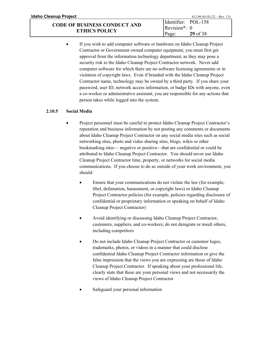**ETHICS POLICY**

If you wish to add computer software or hardware on Idaho Cleanup Project Contractor or Government owned computer equipment, you must first get approval from the information technology department, as they may pose a security risk to the Idaho Cleanup Project Contractor network. Never add computer software for which there are no software licensing agreements or in violation of copyright laws. Even if branded with the Idaho Cleanup Project Contractor name, technology may be owned by a third party. If you share your password, user ID, network access information, or badge IDs with anyone, even a co-worker or administrative assistant, you are responsible for any actions that person takes while logged into the system.

Page:

**29** of 38

#### **2.10.5 Social Media**

- Project personnel must be careful to protect Idaho Cleanup Project Contractor's reputation and business information by not posting any comments or documents about Idaho Cleanup Project Contractor on any social media sites such as social networking sites, photo and video sharing sites, blogs, wikis or other bookmarking sites— negative or positive—that are confidential or could be attributed to Idaho Cleanup Project Contractor. You should never use Idaho Cleanup Project Contractor time, property, or networks for social media communications. If you choose to do so outside of your work environment, you should:
	- Ensure that your communications do not violate the law (for example, libel, defamation, harassment, or copyright laws) or Idaho Cleanup Project Contractor policies (for example, policies regarding disclosure of confidential or proprietary information or speaking on behalf of Idaho Cleanup Project Contractor)
	- Avoid identifying or discussing Idaho Cleanup Project Contractor, customers, suppliers, and co-workers; do not denigrate or insult others, including competitors
	- Do not include Idaho Cleanup Project Contractor or customer logos, trademarks, photos, or videos in a manner that could disclose confidential Idaho Cleanup Project Contractor information or give the false impression that the views you are expressing are those of Idaho Cleanup Project Contractor. If speaking about your professional life, clearly state that these are your personal views and not necessarily the views of Idaho Cleanup Project Contractor
	- Safeguard your personal information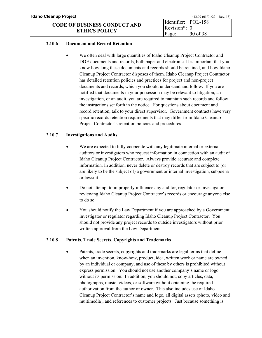#### **2.10.6 Document and Record Retention**

We often deal with large quantities of Idaho Cleanup Project Contractor and DOE documents and records, both paper and electronic. It is important that you know how long these documents and records should be retained, and how Idaho Cleanup Project Contractor disposes of them. Idaho Cleanup Project Contractor has detailed retention policies and practices for project and non-project documents and records, which you should understand and follow. If you are notified that documents in your possession may be relevant to litigation, an investigation, or an audit, you are required to maintain such records and follow the instructions set forth in the notice. For questions about document and record retention, talk to your direct supervisor. Government contracts have very specific records retention requirements that may differ from Idaho Cleanup Project Contractor's retention policies and procedures.

#### **2.10.7 Investigations and Audits**

- We are expected to fully cooperate with any legitimate internal or external auditors or investigators who request information in connection with an audit of Idaho Cleanup Project Contractor. Always provide accurate and complete information. In addition, never delete or destroy records that are subject to (or are likely to be the subject of) a government or internal investigation, subpoena or lawsuit.
- Do not attempt to improperly influence any auditor, regulator or investigator reviewing Idaho Cleanup Project Contractor's records or encourage anyone else to do so.
- You should notify the Law Department if you are approached by a Government investigator or regulator regarding Idaho Cleanup Project Contractor. You should not provide any project records to outside investigators without prior written approval from the Law Department.

#### **2.10.8 Patents, Trade Secrets, Copyrights and Trademarks**

Patents, trade secrets, copyrights and trademarks are legal terms that define when an invention, know-how, product, idea, written work or name are owned by an individual or company, and use of these by others is prohibited without express permission. You should not use another company's name or logo without its permission. In addition, you should not, copy articles, data, photographs, music, videos, or software without obtaining the required authorization from the author or owner. This also includes use of Idaho Cleanup Project Contractor's name and logo, all digital assets (photo, video and multimedia), and references to customer projects. Just because something is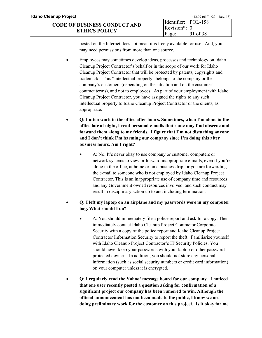posted on the Internet does not mean it is freely available for use. And, you may need permissions from more than one source.

- Employees may sometimes develop ideas, processes and technology on Idaho Cleanup Project Contractor's behalf or in the scope of our work for Idaho Cleanup Project Contractor that will be protected by patents, copyrights and trademarks. This "intellectual property" belongs to the company or the company's customers (depending on the situation and on the customer's contract terms), and not to employees. As part of your employment with Idaho Cleanup Project Contractor, you have assigned the rights to any such intellectual property to Idaho Cleanup Project Contractor or the clients, as appropriate.
- **Q: I often work in the office after hours. Sometimes, when I'm alone in the office late at night, I read personal e-mails that some may find obscene and forward them along to my friends. I figure that I'm not disturbing anyone, and I don't think I'm harming our company since I'm doing this after business hours. Am I right?**
	- A: No. It's never okay to use company or customer computers or network systems to view or forward inappropriate e-mails, even if you're alone in the office, at home or on a business trip, or you are forwarding the e-mail to someone who is not employed by Idaho Cleanup Project Contractor. This is an inappropriate use of company time and resources and any Government owned resources involved, and such conduct may result in disciplinary action up to and including termination.

## • **Q: I left my laptop on an airplane and my passwords were in my computer bag. What should I do?**

- A: You should immediately file a police report and ask for a copy. Then immediately contact Idaho Cleanup Project Contractor Corporate Security with a copy of the police report and Idaho Cleanup Project Contractor Information Security to report the theft. Familiarize yourself with Idaho Cleanup Project Contractor's IT Security Policies. You should never keep your passwords with your laptop or other passwordprotected devices. In addition, you should not store any personal information (such as social security numbers or credit card information) on your computer unless it is encrypted.
- **Q: I regularly read the Yahoo! message board for our company. I noticed that one user recently posted a question asking for confirmation of a significant project our company has been rumored to win. Although the official announcement has not been made to the public, I know we are doing preliminary work for the customer on this project. Is it okay for me**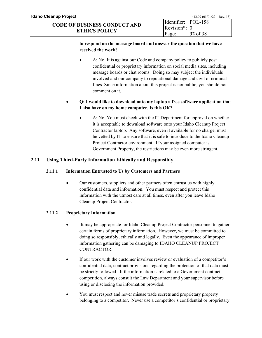#### **to respond on the message board and answer the question that we have received the work?**

• A: No. It is against our Code and company policy to publicly post confidential or proprietary information on social media sites, including message boards or chat rooms. Doing so may subject the individuals involved and our company to reputational damage and civil or criminal fines. Since information about this project is nonpublic, you should not comment on it.

## • **Q: I would like to download onto my laptop a free software application that I also have on my home computer. Is this OK?**

• A: No. You must check with the IT Department for approval on whether it is acceptable to download software onto your Idaho Cleanup Project Contractor laptop. Any software, even if available for no charge, must be vetted by IT to ensure that it is safe to introduce to the Idaho Cleanup Project Contractor environment. If your assigned computer is Government Property, the restrictions may be even more stringent.

## <span id="page-32-0"></span>**2.11 Using Third-Party Information Ethically and Responsibly**

## **2.11.1 Information Entrusted to Us by Customers and Partners**

• Our customers, suppliers and other partners often entrust us with highly confidential data and information. You must respect and protect this information with the utmost care at all times, even after you leave Idaho Cleanup Project Contractor.

## **2.11.2 Proprietary Information**

- It may be appropriate for Idaho Cleanup Project Contractor personnel to gather certain forms of proprietary information. However, we must be committed to doing so responsibly, ethically and legally. Even the appearance of improper information gathering can be damaging to IDAHO CLEANUP PROJECT CONTRACTOR.
- If our work with the customer involves review or evaluation of a competitor's confidential data, contract provisions regarding the protection of that data must be strictly followed. If the information is related to a Government contract competition, always consult the Law Department and your supervisor before using or disclosing the information provided.
- You must respect and never misuse trade secrets and proprietary property belonging to a competitor. Never use a competitor's confidential or proprietary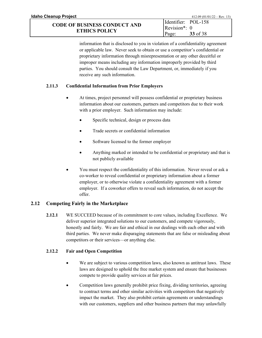information that is disclosed to you in violation of a confidentiality agreement or applicable law. Never seek to obtain or use a competitor's confidential or proprietary information through misrepresentation or any other deceitful or improper means including any information improperly provided by third parties. You should consult the Law Department, or, immediately if you receive any such information.

### **2.11.3 Confidential Information from Prior Employers**

- At times, project personnel will possess confidential or proprietary business information about our customers, partners and competitors due to their work with a prior employer. Such information may include:
	- Specific technical, design or process data
	- Trade secrets or confidential information
	- Software licensed to the former employer
	- Anything marked or intended to be confidential or proprietary and that is not publicly available
- You must respect the confidentiality of this information. Never reveal or ask a co-worker to reveal confidential or proprietary information about a former employer, or to otherwise violate a confidentiality agreement with a former employer. If a coworker offers to reveal such information, do not accept the offer.

## <span id="page-33-0"></span>**2.12 Competing Fairly in the Marketplace**

**2.12.1** WE SUCCEED because of its commitment to core values, including Excellence. We deliver superior integrated solutions to our customers, and compete vigorously, honestly and fairly. We are fair and ethical in our dealings with each other and with third parties. We never make disparaging statements that are false or misleading about competitors or their services—or anything else.

## **2.12.2 Fair and Open Competition**

- We are subject to various competition laws, also known as antitrust laws. These laws are designed to uphold the free market system and ensure that businesses compete to provide quality services at fair prices.
- Competition laws generally prohibit price fixing, dividing territories, agreeing to contract terms and other similar activities with competitors that negatively impact the market. They also prohibit certain agreements or understandings with our customers, suppliers and other business partners that may unlawfully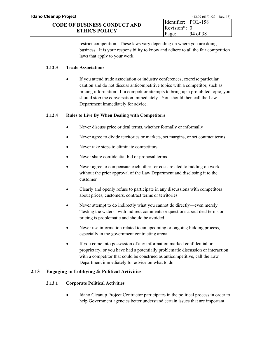restrict competition. These laws vary depending on where you are doing business. It is your responsibility to know and adhere to all the fair competition laws that apply to your work.

## **2.12.3 Trade Associations**

If you attend trade association or industry conferences, exercise particular caution and do not discuss anticompetitive topics with a competitor, such as pricing information. If a competitor attempts to bring up a prohibited topic, you should stop the conversation immediately. You should then call the Law Department immediately for advice.

## **2.12.4 Rules to Live By When Dealing with Competitors**

- Never discuss price or deal terms, whether formally or informally
- Never agree to divide territories or markets, set margins, or set contract terms
- Never take steps to eliminate competitors
- Never share confidential bid or proposal terms
- Never agree to compensate each other for costs related to bidding on work without the prior approval of the Law Department and disclosing it to the customer
- Clearly and openly refuse to participate in any discussions with competitors about prices, customers, contract terms or territories
- Never attempt to do indirectly what you cannot do directly—even merely "testing the waters" with indirect comments or questions about deal terms or pricing is problematic and should be avoided
- Never use information related to an upcoming or ongoing bidding process, especially in the government contracting arena
- If you come into possession of any information marked confidential or proprietary, or you have had a potentially problematic discussion or interaction with a competitor that could be construed as anticompetitive, call the Law Department immediately for advice on what to do

## <span id="page-34-0"></span>**2.13 Engaging in Lobbying & Political Activities**

## **2.13.1 Corporate Political Activities**

• Idaho Cleanup Project Contractor participates in the political process in order to help Government agencies better understand certain issues that are important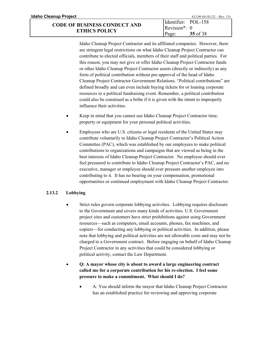| Idaho Cleanup Project               | $412.09 (01/01/22 - Rev. 13)$ |
|-------------------------------------|-------------------------------|
|                                     | Identifier: POL-158           |
| <b>CODE OF BUSINESS CONDUCT AND</b> | $\text{Revision}^*$ : 0       |
| <b>ETHICS POLICY</b>                | 35 of 38<br>Page:             |

Idaho Cleanup Project Contractor and its affiliated companies. However, there are stringent legal restrictions on what Idaho Cleanup Project Contractor can contribute to elected officials, members of their staff and political parties. For this reason, you may not give or offer Idaho Cleanup Project Contractor funds or other Idaho Cleanup Project Contractor assets (directly or indirectly) as any form of political contribution without pre-approval of the head of Idaho Cleanup Project Contractor Government Relations. "Political contributions" are defined broadly and can even include buying tickets for or loaning corporate resources to a political fundraising event. Remember, a political contribution could also be construed as a bribe if it is given with the intent to improperly influence their activities.

- Keep in mind that you cannot use Idaho Cleanup Project Contractor time, property or equipment for your personal political activities.
- Employees who are U.S. citizens or legal residents of the United States may contribute voluntarily to Idaho Cleanup Project Contractor's Political Action Committee (PAC), which was established by our employees to make political contributions to organizations and campaigns that are viewed as being in the best interests of Idaho Cleanup Project Contractor. No employee should ever feel pressured to contribute to Idaho Cleanup Project Contractor's PAC, and no executive, manager or employee should ever pressure another employee into contributing to it. It has no bearing on your compensation, promotional opportunities or continued employment with Idaho Cleanup Project Contractor.

#### **2.13.2 Lobbying**

- Strict rules govern corporate lobbying activities. Lobbying requires disclosure to the Government and covers many kinds of activities. U.S. Government project sites and customers have strict prohibitions against using Government resources—such as computers, email accounts, phones, fax machines, and copiers—for conducting any lobbying or political activities. In addition, please note that lobbying and political activities are not allowable costs and may not be charged to a Government contract. Before engaging on behalf of Idaho Cleanup Project Contractor in any activities that could be considered lobbying or political activity, contact the Law Department.
- **Q: A mayor whose city is about to award a large engineering contract called me for a corporate contribution for his re-election. I feel some pressure to make a commitment. What should I do?**
	- A: You should inform the mayor that Idaho Cleanup Project Contractor has an established practice for reviewing and approving corporate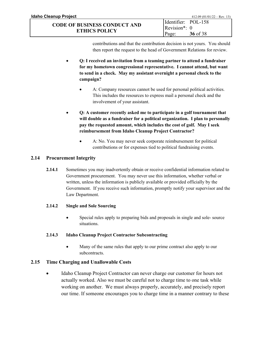contributions and that the contribution decision is not yours. You should then report the request to the head of Government Relations for review.

- **Q: I received an invitation from a teaming partner to attend a fundraiser for my hometown congressional representative. I cannot attend, but want to send in a check. May my assistant overnight a personal check to the campaign?**
	- A: Company resources cannot be used for personal political activities. This includes the resources to express mail a personal check and the involvement of your assistant.
- **Q: A customer recently asked me to participate in a golf tournament that will double as a fundraiser for a political organization. I plan to personally pay the requested amount, which includes the cost of golf. May I seek reimbursement from Idaho Cleanup Project Contractor?**
	- A: No. You may never seek corporate reimbursement for political contributions or for expenses tied to political fundraising events.

## <span id="page-36-0"></span>**2.14 Procurement Integrity**

**2.14.1** Sometimes you may inadvertently obtain or receive confidential information related to Government procurement. You may never use this information, whether verbal or written, unless the information is publicly available or provided officially by the Government. If you receive such information, promptly notify your supervisor and the Law Department.

## **2.14.2 Single and Sole Sourcing**

• Special rules apply to preparing bids and proposals in single and sole- source situations.

## **2.14.3 Idaho Cleanup Project Contractor Subcontracting**

• Many of the same rules that apply to our prime contract also apply to our subcontracts.

## <span id="page-36-1"></span>**2.15 Time Charging and Unallowable Costs**

• Idaho Cleanup Project Contractor can never charge our customer for hours not actually worked. Also we must be careful not to charge time to one task while working on another. We must always properly, accurately, and precisely report our time. If someone encourages you to charge time in a manner contrary to these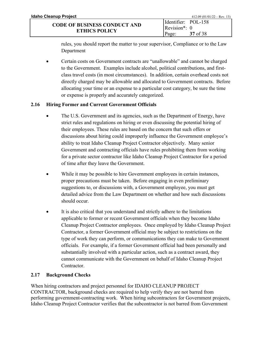| Idaho Cleanup Project               |                             | $412.09 (01/01/22 - Rev. 13)$ |
|-------------------------------------|-----------------------------|-------------------------------|
| <b>CODE OF BUSINESS CONDUCT AND</b> | Identifier: POL-158         |                               |
|                                     | Revision <sup>*</sup> : $0$ |                               |
| <b>ETHICS POLICY</b>                | Page:                       | 37 of 38                      |

rules, you should report the matter to your supervisor, Compliance or to the Law Department

• Certain costs on Government contracts are "unallowable" and cannot be charged to the Government. Examples include alcohol, political contributions, and firstclass travel costs (in most circumstances). In addition, certain overhead costs not directly charged may be allowable and allocated to Government contracts. Before allocating your time or an expense to a particular cost category, be sure the time or expense is properly and accurately categorized.

## <span id="page-37-0"></span>**2.16 Hiring Former and Current Government Officials**

- The U.S. Government and its agencies, such as the Department of Energy, have strict rules and regulations on hiring or even discussing the potential hiring of their employees. These rules are based on the concern that such offers or discussions about hiring could improperly influence the Government employee's ability to treat Idaho Cleanup Project Contractor objectively. Many senior Government and contracting officials have rules prohibiting them from working for a private sector contractor like Idaho Cleanup Project Contractor for a period of time after they leave the Government.
- While it may be possible to hire Government employees in certain instances, proper precautions must be taken. Before engaging in even preliminary suggestions to, or discussions with, a Government employee, you must get detailed advice from the Law Department on whether and how such discussions should occur.
- It is also critical that you understand and strictly adhere to the limitations applicable to former or recent Government officials when they become Idaho Cleanup Project Contractor employees. Once employed by Idaho Cleanup Project Contractor, a former Government official may be subject to restrictions on the type of work they can perform, or communications they can make to Government officials. For example, if a former Government official had been personally and substantially involved with a particular action, such as a contract award, they cannot communicate with the Government on behalf of Idaho Cleanup Project Contractor.

## <span id="page-37-1"></span>**2.17 Background Checks**

When hiring contractors and project personnel for IDAHO CLEANUP PROJECT CONTRACTOR, background checks are required to help verify they are not barred from performing government-contracting work. When hiring subcontractors for Government projects, Idaho Cleanup Project Contractor verifies that the subcontractor is not barred from Government